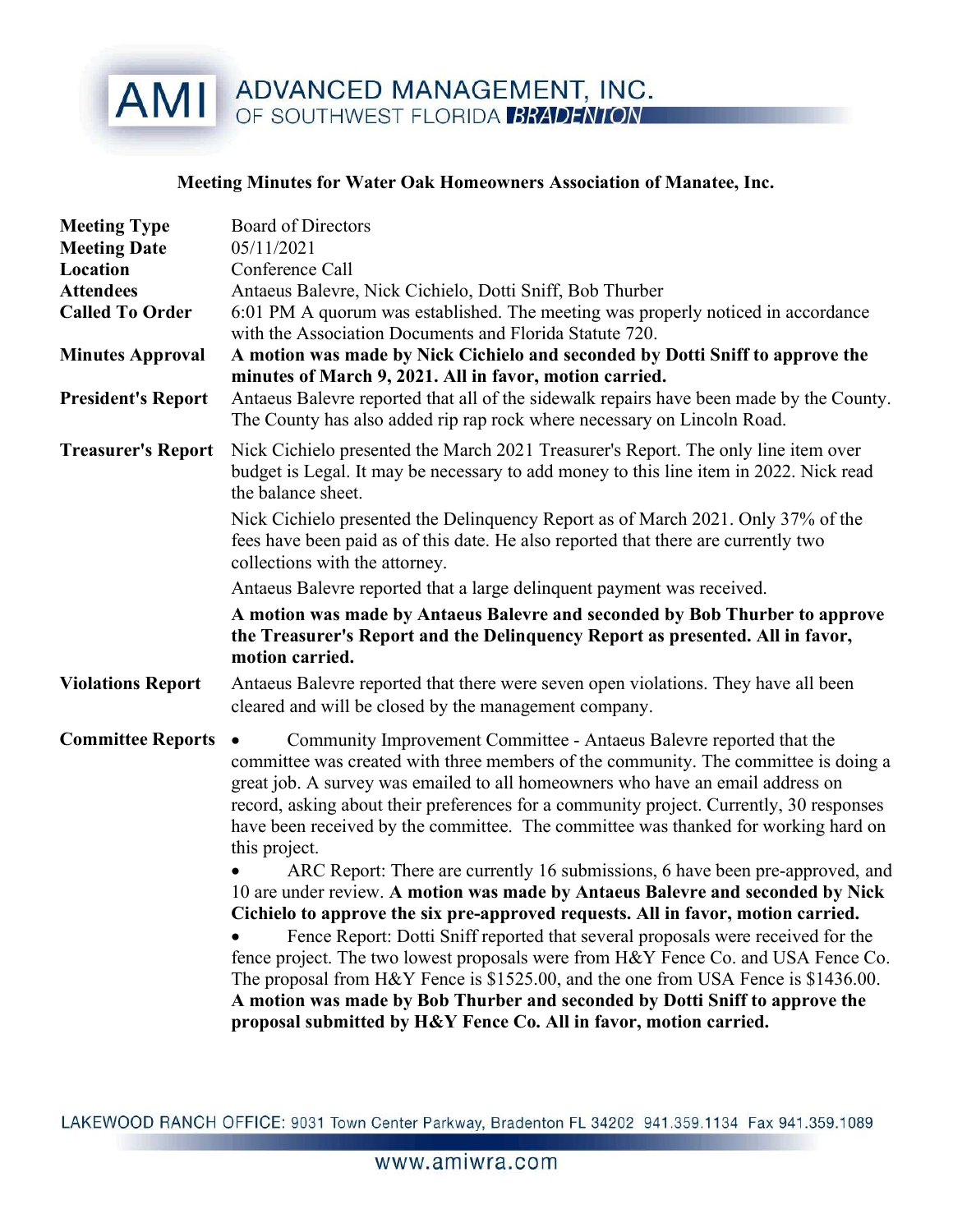## AMI ADVANCED MANAGEMENT, INC.

## Meeting Minutes for Water Oak Homeowners Association of Manatee, Inc.

| <b>Meeting Type</b><br><b>Meeting Date</b><br>Location<br><b>Attendees</b><br><b>Called To Order</b><br><b>Minutes Approval</b><br><b>President's Report</b> | <b>Board of Directors</b><br>05/11/2021<br>Conference Call<br>Antaeus Balevre, Nick Cichielo, Dotti Sniff, Bob Thurber<br>6:01 PM A quorum was established. The meeting was properly noticed in accordance<br>with the Association Documents and Florida Statute 720.<br>A motion was made by Nick Cichielo and seconded by Dotti Sniff to approve the<br>minutes of March 9, 2021. All in favor, motion carried.<br>Antaeus Balevre reported that all of the sidewalk repairs have been made by the County.<br>The County has also added rip rap rock where necessary on Lincoln Road.                                                                                                                                                                                                                                                                                                                                                                                                                                                                                                                                 |
|--------------------------------------------------------------------------------------------------------------------------------------------------------------|-------------------------------------------------------------------------------------------------------------------------------------------------------------------------------------------------------------------------------------------------------------------------------------------------------------------------------------------------------------------------------------------------------------------------------------------------------------------------------------------------------------------------------------------------------------------------------------------------------------------------------------------------------------------------------------------------------------------------------------------------------------------------------------------------------------------------------------------------------------------------------------------------------------------------------------------------------------------------------------------------------------------------------------------------------------------------------------------------------------------------|
| <b>Treasurer's Report</b>                                                                                                                                    | Nick Cichielo presented the March 2021 Treasurer's Report. The only line item over<br>budget is Legal. It may be necessary to add money to this line item in 2022. Nick read<br>the balance sheet.<br>Nick Cichielo presented the Delinquency Report as of March 2021. Only 37% of the<br>fees have been paid as of this date. He also reported that there are currently two<br>collections with the attorney.<br>Antaeus Balevre reported that a large delinquent payment was received.<br>A motion was made by Antaeus Balevre and seconded by Bob Thurber to approve<br>the Treasurer's Report and the Delinquency Report as presented. All in favor,<br>motion carried.                                                                                                                                                                                                                                                                                                                                                                                                                                             |
| <b>Violations Report</b>                                                                                                                                     | Antaeus Balevre reported that there were seven open violations. They have all been<br>cleared and will be closed by the management company.                                                                                                                                                                                                                                                                                                                                                                                                                                                                                                                                                                                                                                                                                                                                                                                                                                                                                                                                                                             |
| <b>Committee Reports</b>                                                                                                                                     | Community Improvement Committee - Antaeus Balevre reported that the<br>committee was created with three members of the community. The committee is doing a<br>great job. A survey was emailed to all homeowners who have an email address on<br>record, asking about their preferences for a community project. Currently, 30 responses<br>have been received by the committee. The committee was thanked for working hard on<br>this project.<br>ARC Report: There are currently 16 submissions, 6 have been pre-approved, and<br>10 are under review. A motion was made by Antaeus Balevre and seconded by Nick<br>Cichielo to approve the six pre-approved requests. All in favor, motion carried.<br>Fence Report: Dotti Sniff reported that several proposals were received for the<br>fence project. The two lowest proposals were from H&Y Fence Co. and USA Fence Co.<br>The proposal from H&Y Fence is \$1525.00, and the one from USA Fence is \$1436.00.<br>A motion was made by Bob Thurber and seconded by Dotti Sniff to approve the<br>proposal submitted by H&Y Fence Co. All in favor, motion carried. |

LAKEWOOD RANCH OFFICE: 9031 Town Center Parkway, Bradenton FL 34202 941.359.1134 Fax 941.359.1089